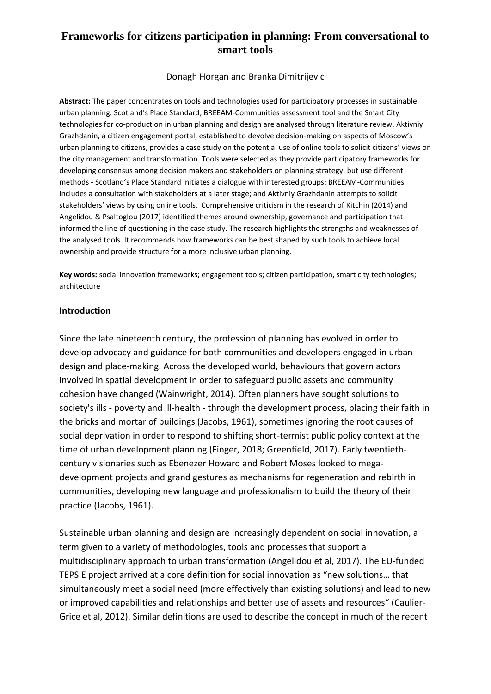# **Frameworks for citizens participation in planning: From conversational to smart tools**

Donagh Horgan and Branka Dimitrijevic

**Abstract:** The paper concentrates on tools and technologies used for participatory processes in sustainable urban planning. Scotland's Place Standard, BREEAM-Communities assessment tool and the Smart City technologies for co-production in urban planning and design are analysed through literature review. Aktivniy Grazhdanin, a citizen engagement portal, established to devolve decision-making on aspects of Moscow's urban planning to citizens, provides a case study on the potential use of online tools to solicit citizens' views on the city management and transformation. Tools were selected as they provide participatory frameworks for developing consensus among decision makers and stakeholders on planning strategy, but use different methods - Scotland's Place Standard initiates a dialogue with interested groups; BREEAM-Communities includes a consultation with stakeholders at a later stage; and Aktivniy Grazhdanin attempts to solicit stakeholders' views by using online tools. Comprehensive criticism in the research of Kitchin (2014) and Angelidou & Psaltoglou (2017) identified themes around ownership, governance and participation that informed the line of questioning in the case study. The research highlights the strengths and weaknesses of the analysed tools. It recommends how frameworks can be best shaped by such tools to achieve local ownership and provide structure for a more inclusive urban planning.

**Key words:** social innovation frameworks; engagement tools; citizen participation, smart city technologies; architecture

## **Introduction**

Since the late nineteenth century, the profession of planning has evolved in order to develop advocacy and guidance for both communities and developers engaged in urban design and place-making. Across the developed world, behaviours that govern actors involved in spatial development in order to safeguard public assets and community cohesion have changed (Wainwright, 2014). Often planners have sought solutions to society's ills - poverty and ill-health - through the development process, placing their faith in the bricks and mortar of buildings (Jacobs, 1961), sometimes ignoring the root causes of social deprivation in order to respond to shifting short-termist public policy context at the time of urban development planning (Finger, 2018; Greenfield, 2017). Early twentiethcentury visionaries such as Ebenezer Howard and Robert Moses looked to megadevelopment projects and grand gestures as mechanisms for regeneration and rebirth in communities, developing new language and professionalism to build the theory of their practice (Jacobs, 1961).

Sustainable urban planning and design are increasingly dependent on social innovation, a term given to a variety of methodologies, tools and processes that support a multidisciplinary approach to urban transformation (Angelidou et al, 2017). The EU-funded TEPSIE project arrived at a core definition for social innovation as "new solutions… that simultaneously meet a social need (more effectively than existing solutions) and lead to new or improved capabilities and relationships and better use of assets and resources" (Caulier-Grice et al, 2012). Similar definitions are used to describe the concept in much of the recent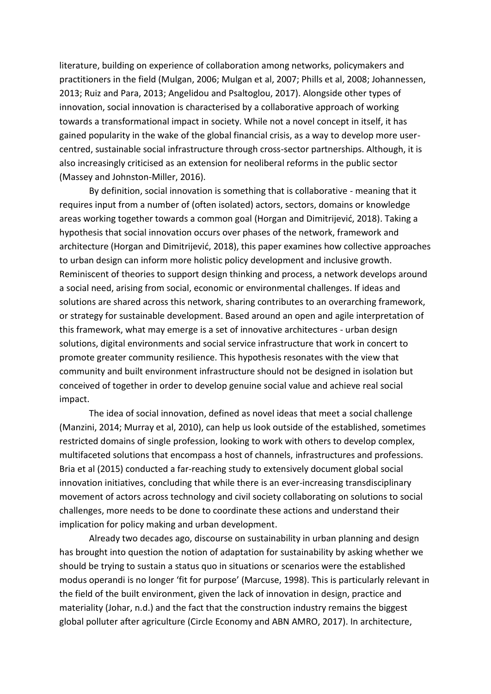literature, building on experience of collaboration among networks, policymakers and practitioners in the field (Mulgan, 2006; Mulgan et al, 2007; Phills et al, 2008; Johannessen, 2013; Ruiz and Para, 2013; Angelidou and Psaltoglou, 2017). Alongside other types of innovation, social innovation is characterised by a collaborative approach of working towards a transformational impact in society. While not a novel concept in itself, it has gained popularity in the wake of the global financial crisis, as a way to develop more usercentred, sustainable social infrastructure through cross-sector partnerships. Although, it is also increasingly criticised as an extension for neoliberal reforms in the public sector (Massey and Johnston-Miller, 2016).

By definition, social innovation is something that is collaborative - meaning that it requires input from a number of (often isolated) actors, sectors, domains or knowledge areas working together towards a common goal (Horgan and Dimitrijević, 2018). Taking a hypothesis that social innovation occurs over phases of the network, framework and architecture (Horgan and Dimitrijević, 2018), this paper examines how collective approaches to urban design can inform more holistic policy development and inclusive growth. Reminiscent of theories to support design thinking and process, a network develops around a social need, arising from social, economic or environmental challenges. If ideas and solutions are shared across this network, sharing contributes to an overarching framework, or strategy for sustainable development. Based around an open and agile interpretation of this framework, what may emerge is a set of innovative architectures - urban design solutions, digital environments and social service infrastructure that work in concert to promote greater community resilience. This hypothesis resonates with the view that community and built environment infrastructure should not be designed in isolation but conceived of together in order to develop genuine social value and achieve real social impact.

The idea of social innovation, defined as novel ideas that meet a social challenge (Manzini, 2014; Murray et al, 2010), can help us look outside of the established, sometimes restricted domains of single profession, looking to work with others to develop complex, multifaceted solutions that encompass a host of channels, infrastructures and professions. Bria et al (2015) conducted a far-reaching study to extensively document global social innovation initiatives, concluding that while there is an ever-increasing transdisciplinary movement of actors across technology and civil society collaborating on solutions to social challenges, more needs to be done to coordinate these actions and understand their implication for policy making and urban development.

Already two decades ago, discourse on sustainability in urban planning and design has brought into question the notion of adaptation for sustainability by asking whether we should be trying to sustain a status quo in situations or scenarios were the established modus operandi is no longer 'fit for purpose' (Marcuse, 1998). This is particularly relevant in the field of the built environment, given the lack of innovation in design, practice and materiality (Johar, n.d.) and the fact that the construction industry remains the biggest global polluter after agriculture (Circle Economy and ABN AMRO, 2017). In architecture,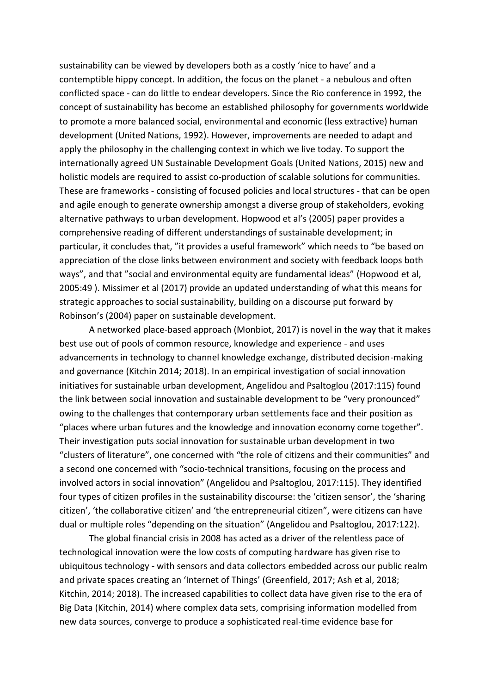sustainability can be viewed by developers both as a costly 'nice to have' and a contemptible hippy concept. In addition, the focus on the planet - a nebulous and often conflicted space - can do little to endear developers. Since the Rio conference in 1992, the concept of sustainability has become an established philosophy for governments worldwide to promote a more balanced social, environmental and economic (less extractive) human development (United Nations, 1992). However, improvements are needed to adapt and apply the philosophy in the challenging context in which we live today. To support the internationally agreed UN Sustainable Development Goals (United Nations, 2015) new and holistic models are required to assist co-production of scalable solutions for communities. These are frameworks - consisting of focused policies and local structures - that can be open and agile enough to generate ownership amongst a diverse group of stakeholders, evoking alternative pathways to urban development. Hopwood et al's (2005) paper provides a comprehensive reading of different understandings of sustainable development; in particular, it concludes that, "it provides a useful framework" which needs to "be based on appreciation of the close links between environment and society with feedback loops both ways", and that "social and environmental equity are fundamental ideas" (Hopwood et al, 2005:49 ). Missimer et al (2017) provide an updated understanding of what this means for strategic approaches to social sustainability, building on a discourse put forward by Robinson's (2004) paper on sustainable development.

A networked place-based approach (Monbiot, 2017) is novel in the way that it makes best use out of pools of common resource, knowledge and experience - and uses advancements in technology to channel knowledge exchange, distributed decision-making and governance (Kitchin 2014; 2018). In an empirical investigation of social innovation initiatives for sustainable urban development, Angelidou and Psaltoglou (2017:115) found the link between social innovation and sustainable development to be "very pronounced" owing to the challenges that contemporary urban settlements face and their position as "places where urban futures and the knowledge and innovation economy come together". Their investigation puts social innovation for sustainable urban development in two "clusters of literature", one concerned with "the role of citizens and their communities" and a second one concerned with "socio-technical transitions, focusing on the process and involved actors in social innovation" (Angelidou and Psaltoglou, 2017:115). They identified four types of citizen profiles in the sustainability discourse: the 'citizen sensor', the 'sharing citizen', 'the collaborative citizen' and 'the entrepreneurial citizen", were citizens can have dual or multiple roles "depending on the situation" (Angelidou and Psaltoglou, 2017:122).

The global financial crisis in 2008 has acted as a driver of the relentless pace of technological innovation were the low costs of computing hardware has given rise to ubiquitous technology - with sensors and data collectors embedded across our public realm and private spaces creating an 'Internet of Things' (Greenfield, 2017; Ash et al, 2018; Kitchin, 2014; 2018). The increased capabilities to collect data have given rise to the era of Big Data (Kitchin, 2014) where complex data sets, comprising information modelled from new data sources, converge to produce a sophisticated real-time evidence base for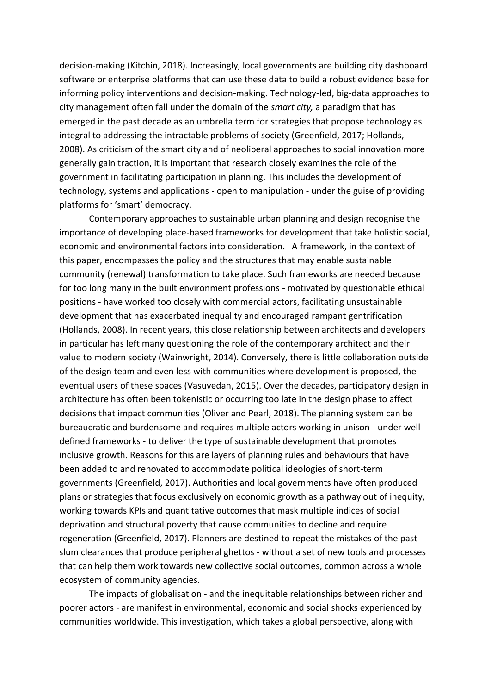decision-making (Kitchin, 2018). Increasingly, local governments are building city dashboard software or enterprise platforms that can use these data to build a robust evidence base for informing policy interventions and decision-making. Technology-led, big-data approaches to city management often fall under the domain of the *smart city,* a paradigm that has emerged in the past decade as an umbrella term for strategies that propose technology as integral to addressing the intractable problems of society (Greenfield, 2017; Hollands, 2008). As criticism of the smart city and of neoliberal approaches to social innovation more generally gain traction, it is important that research closely examines the role of the government in facilitating participation in planning. This includes the development of technology, systems and applications - open to manipulation - under the guise of providing platforms for 'smart' democracy.

Contemporary approaches to sustainable urban planning and design recognise the importance of developing place-based frameworks for development that take holistic social, economic and environmental factors into consideration. A framework, in the context of this paper, encompasses the policy and the structures that may enable sustainable community (renewal) transformation to take place. Such frameworks are needed because for too long many in the built environment professions - motivated by questionable ethical positions - have worked too closely with commercial actors, facilitating unsustainable development that has exacerbated inequality and encouraged rampant gentrification (Hollands, 2008). In recent years, this close relationship between architects and developers in particular has left many questioning the role of the contemporary architect and their value to modern society (Wainwright, 2014). Conversely, there is little collaboration outside of the design team and even less with communities where development is proposed, the eventual users of these spaces (Vasuvedan, 2015). Over the decades, participatory design in architecture has often been tokenistic or occurring too late in the design phase to affect decisions that impact communities (Oliver and Pearl, 2018). The planning system can be bureaucratic and burdensome and requires multiple actors working in unison - under welldefined frameworks - to deliver the type of sustainable development that promotes inclusive growth. Reasons for this are layers of planning rules and behaviours that have been added to and renovated to accommodate political ideologies of short-term governments (Greenfield, 2017). Authorities and local governments have often produced plans or strategies that focus exclusively on economic growth as a pathway out of inequity, working towards KPIs and quantitative outcomes that mask multiple indices of social deprivation and structural poverty that cause communities to decline and require regeneration (Greenfield, 2017). Planners are destined to repeat the mistakes of the past slum clearances that produce peripheral ghettos - without a set of new tools and processes that can help them work towards new collective social outcomes, common across a whole ecosystem of community agencies.

The impacts of globalisation - and the inequitable relationships between richer and poorer actors - are manifest in environmental, economic and social shocks experienced by communities worldwide. This investigation, which takes a global perspective, along with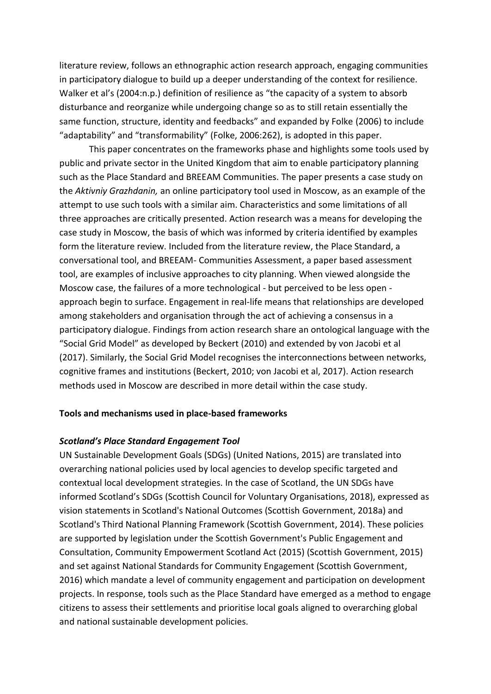literature review, follows an ethnographic action research approach, engaging communities in participatory dialogue to build up a deeper understanding of the context for resilience. Walker et al's (2004:n.p.) definition of resilience as "the capacity of a system to absorb disturbance and reorganize while undergoing change so as to still retain essentially the same function, structure, identity and feedbacks" and expanded by Folke (2006) to include "adaptability" and "transformability" (Folke, 2006:262), is adopted in this paper.

This paper concentrates on the frameworks phase and highlights some tools used by public and private sector in the United Kingdom that aim to enable participatory planning such as the Place Standard and BREEAM Communities. The paper presents a case study on the *Aktivniy Grazhdanin,* an online participatory tool used in Moscow, as an example of the attempt to use such tools with a similar aim. Characteristics and some limitations of all three approaches are critically presented. Action research was a means for developing the case study in Moscow, the basis of which was informed by criteria identified by examples form the literature review. Included from the literature review, the Place Standard, a conversational tool, and BREEAM- Communities Assessment, a paper based assessment tool, are examples of inclusive approaches to city planning. When viewed alongside the Moscow case, the failures of a more technological - but perceived to be less open approach begin to surface. Engagement in real-life means that relationships are developed among stakeholders and organisation through the act of achieving a consensus in a participatory dialogue. Findings from action research share an ontological language with the "Social Grid Model" as developed by Beckert (2010) and extended by von Jacobi et al (2017). Similarly, the Social Grid Model recognises the interconnections between networks, cognitive frames and institutions (Beckert, 2010; von Jacobi et al, 2017). Action research methods used in Moscow are described in more detail within the case study.

## **Tools and mechanisms used in place-based frameworks**

## *Scotland's Place Standard Engagement Tool*

UN Sustainable Development Goals (SDGs) (United Nations, 2015) are translated into overarching national policies used by local agencies to develop specific targeted and contextual local development strategies. In the case of Scotland, the UN SDGs have informed Scotland's SDGs (Scottish Council for Voluntary Organisations, 2018), expressed as vision statements in Scotland's National Outcomes (Scottish Government, 2018a) and Scotland's Third National Planning Framework (Scottish Government, 2014). These policies are supported by legislation under the Scottish Government's Public Engagement and Consultation, Community Empowerment Scotland Act (2015) (Scottish Government, 2015) and set against National Standards for Community Engagement (Scottish Government, 2016) which mandate a level of community engagement and participation on development projects. In response, tools such as the Place Standard have emerged as a method to engage citizens to assess their settlements and prioritise local goals aligned to overarching global and national sustainable development policies.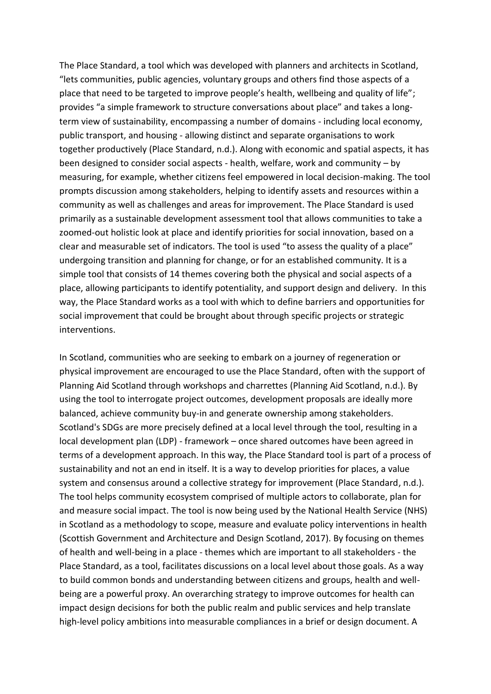The Place Standard, a tool which was developed with planners and architects in Scotland, "lets communities, public agencies, voluntary groups and others find those aspects of a place that need to be targeted to improve people's health, wellbeing and quality of life"; provides "a simple framework to structure conversations about place" and takes a longterm view of sustainability, encompassing a number of domains - including local economy, public transport, and housing - allowing distinct and separate organisations to work together productively (Place Standard, n.d.). Along with economic and spatial aspects, it has been designed to consider social aspects - health, welfare, work and community – by measuring, for example, whether citizens feel empowered in local decision-making. The tool prompts discussion among stakeholders, helping to identify assets and resources within a community as well as challenges and areas for improvement. The Place Standard is used primarily as a sustainable development assessment tool that allows communities to take a zoomed-out holistic look at place and identify priorities for social innovation, based on a clear and measurable set of indicators. The tool is used "to assess the quality of a place" undergoing transition and planning for change, or for an established community. It is a simple tool that consists of 14 themes covering both the physical and social aspects of a place, allowing participants to identify potentiality, and support design and delivery. In this way, the Place Standard works as a tool with which to define barriers and opportunities for social improvement that could be brought about through specific projects or strategic interventions.

In Scotland, communities who are seeking to embark on a journey of regeneration or physical improvement are encouraged to use the Place Standard, often with the support of Planning Aid Scotland through workshops and charrettes (Planning Aid Scotland, n.d.). By using the tool to interrogate project outcomes, development proposals are ideally more balanced, achieve community buy-in and generate ownership among stakeholders. Scotland's SDGs are more precisely defined at a local level through the tool, resulting in a local development plan (LDP) - framework – once shared outcomes have been agreed in terms of a development approach. In this way, the Place Standard tool is part of a process of sustainability and not an end in itself. It is a way to develop priorities for places, a value system and consensus around a collective strategy for improvement (Place Standard, n.d.). The tool helps community ecosystem comprised of multiple actors to collaborate, plan for and measure social impact. The tool is now being used by the National Health Service (NHS) in Scotland as a methodology to scope, measure and evaluate policy interventions in health (Scottish Government and Architecture and Design Scotland, 2017). By focusing on themes of health and well-being in a place - themes which are important to all stakeholders - the Place Standard, as a tool, facilitates discussions on a local level about those goals. As a way to build common bonds and understanding between citizens and groups, health and wellbeing are a powerful proxy. An overarching strategy to improve outcomes for health can impact design decisions for both the public realm and public services and help translate high-level policy ambitions into measurable compliances in a brief or design document. A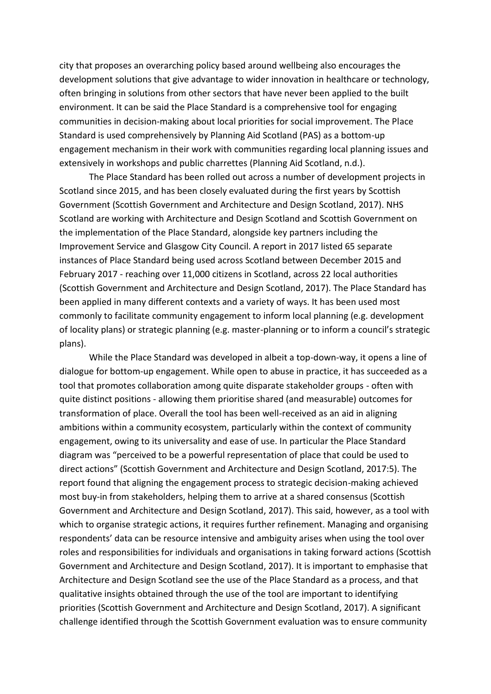city that proposes an overarching policy based around wellbeing also encourages the development solutions that give advantage to wider innovation in healthcare or technology, often bringing in solutions from other sectors that have never been applied to the built environment. It can be said the Place Standard is a comprehensive tool for engaging communities in decision-making about local priorities for social improvement. The Place Standard is used comprehensively by Planning Aid Scotland (PAS) as a bottom-up engagement mechanism in their work with communities regarding local planning issues and extensively in workshops and public charrettes (Planning Aid Scotland, n.d.).

The Place Standard has been rolled out across a number of development projects in Scotland since 2015, and has been closely evaluated during the first years by Scottish Government (Scottish Government and Architecture and Design Scotland, 2017). NHS Scotland are working with Architecture and Design Scotland and Scottish Government on the implementation of the Place Standard, alongside key partners including the Improvement Service and Glasgow City Council. A report in 2017 listed 65 separate instances of Place Standard being used across Scotland between December 2015 and February 2017 - reaching over 11,000 citizens in Scotland, across 22 local authorities (Scottish Government and Architecture and Design Scotland, 2017). The Place Standard has been applied in many different contexts and a variety of ways. It has been used most commonly to facilitate community engagement to inform local planning (e.g. development of locality plans) or strategic planning (e.g. master-planning or to inform a council's strategic plans).

While the Place Standard was developed in albeit a top-down-way, it opens a line of dialogue for bottom-up engagement. While open to abuse in practice, it has succeeded as a tool that promotes collaboration among quite disparate stakeholder groups - often with quite distinct positions - allowing them prioritise shared (and measurable) outcomes for transformation of place. Overall the tool has been well-received as an aid in aligning ambitions within a community ecosystem, particularly within the context of community engagement, owing to its universality and ease of use. In particular the Place Standard diagram was "perceived to be a powerful representation of place that could be used to direct actions" (Scottish Government and Architecture and Design Scotland, 2017:5). The report found that aligning the engagement process to strategic decision-making achieved most buy-in from stakeholders, helping them to arrive at a shared consensus (Scottish Government and Architecture and Design Scotland, 2017). This said, however, as a tool with which to organise strategic actions, it requires further refinement. Managing and organising respondents' data can be resource intensive and ambiguity arises when using the tool over roles and responsibilities for individuals and organisations in taking forward actions (Scottish Government and Architecture and Design Scotland, 2017). It is important to emphasise that Architecture and Design Scotland see the use of the Place Standard as a process, and that qualitative insights obtained through the use of the tool are important to identifying priorities (Scottish Government and Architecture and Design Scotland, 2017). A significant challenge identified through the Scottish Government evaluation was to ensure community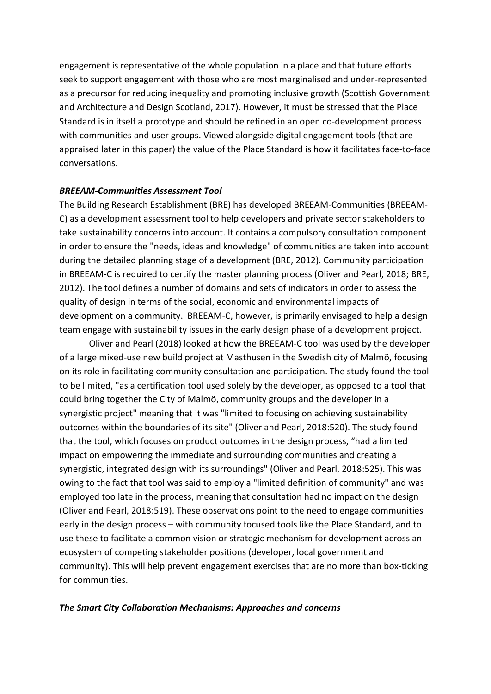engagement is representative of the whole population in a place and that future efforts seek to support engagement with those who are most marginalised and under-represented as a precursor for reducing inequality and promoting inclusive growth (Scottish Government and Architecture and Design Scotland, 2017). However, it must be stressed that the Place Standard is in itself a prototype and should be refined in an open co-development process with communities and user groups. Viewed alongside digital engagement tools (that are appraised later in this paper) the value of the Place Standard is how it facilitates face-to-face conversations.

## *BREEAM-Communities Assessment Tool*

The Building Research Establishment (BRE) has developed BREEAM-Communities (BREEAM-C) as a development assessment tool to help developers and private sector stakeholders to take sustainability concerns into account. It contains a compulsory consultation component in order to ensure the "needs, ideas and knowledge" of communities are taken into account during the detailed planning stage of a development (BRE, 2012). Community participation in BREEAM-C is required to certify the master planning process (Oliver and Pearl, 2018; BRE, 2012). The tool defines a number of domains and sets of indicators in order to assess the quality of design in terms of the social, economic and environmental impacts of development on a community. BREEAM-C, however, is primarily envisaged to help a design team engage with sustainability issues in the early design phase of a development project.

Oliver and Pearl (2018) looked at how the BREEAM-C tool was used by the developer of a large mixed-use new build project at Masthusen in the Swedish city of Malmö, focusing on its role in facilitating community consultation and participation. The study found the tool to be limited, "as a certification tool used solely by the developer, as opposed to a tool that could bring together the City of Malmö, community groups and the developer in a synergistic project" meaning that it was "limited to focusing on achieving sustainability outcomes within the boundaries of its site" (Oliver and Pearl, 2018:520). The study found that the tool, which focuses on product outcomes in the design process, "had a limited impact on empowering the immediate and surrounding communities and creating a synergistic, integrated design with its surroundings" (Oliver and Pearl, 2018:525). This was owing to the fact that tool was said to employ a "limited definition of community" and was employed too late in the process, meaning that consultation had no impact on the design (Oliver and Pearl, 2018:519). These observations point to the need to engage communities early in the design process – with community focused tools like the Place Standard, and to use these to facilitate a common vision or strategic mechanism for development across an ecosystem of competing stakeholder positions (developer, local government and community). This will help prevent engagement exercises that are no more than box-ticking for communities.

## *The Smart City Collaboration Mechanisms: Approaches and concerns*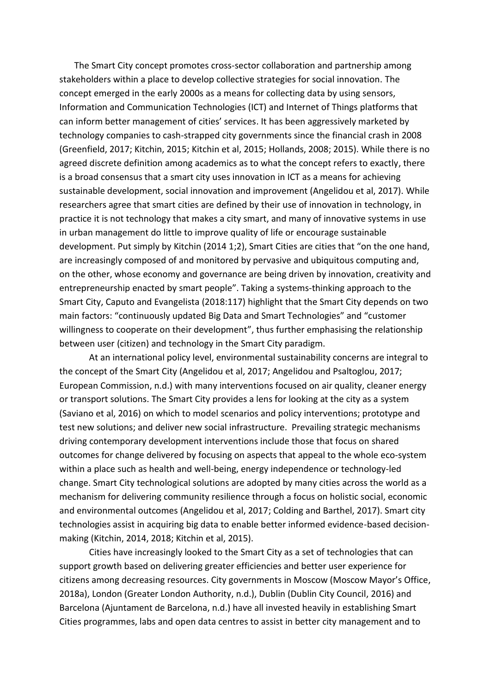The Smart City concept promotes cross-sector collaboration and partnership among stakeholders within a place to develop collective strategies for social innovation. The concept emerged in the early 2000s as a means for collecting data by using sensors, Information and Communication Technologies (ICT) and Internet of Things platforms that can inform better management of cities' services. It has been aggressively marketed by technology companies to cash-strapped city governments since the financial crash in 2008 (Greenfield, 2017; Kitchin, 2015; Kitchin et al, 2015; Hollands, 2008; 2015). While there is no agreed discrete definition among academics as to what the concept refers to exactly, there is a broad consensus that a smart city uses innovation in ICT as a means for achieving sustainable development, social innovation and improvement (Angelidou et al, 2017). While researchers agree that smart cities are defined by their use of innovation in technology, in practice it is not technology that makes a city smart, and many of innovative systems in use in urban management do little to improve quality of life or encourage sustainable development. Put simply by Kitchin (2014 1;2), Smart Cities are cities that "on the one hand, are increasingly composed of and monitored by pervasive and ubiquitous computing and, on the other, whose economy and governance are being driven by innovation, creativity and entrepreneurship enacted by smart people". Taking a systems-thinking approach to the Smart City, Caputo and Evangelista (2018:117) highlight that the Smart City depends on two main factors: "continuously updated Big Data and Smart Technologies" and "customer willingness to cooperate on their development", thus further emphasising the relationship between user (citizen) and technology in the Smart City paradigm.

At an international policy level, environmental sustainability concerns are integral to the concept of the Smart City (Angelidou et al, 2017; Angelidou and Psaltoglou, 2017; European Commission, n.d.) with many interventions focused on air quality, cleaner energy or transport solutions. The Smart City provides a lens for looking at the city as a system (Saviano et al, 2016) on which to model scenarios and policy interventions; prototype and test new solutions; and deliver new social infrastructure. Prevailing strategic mechanisms driving contemporary development interventions include those that focus on shared outcomes for change delivered by focusing on aspects that appeal to the whole eco-system within a place such as health and well-being, energy independence or technology-led change. Smart City technological solutions are adopted by many cities across the world as a mechanism for delivering community resilience through a focus on holistic social, economic and environmental outcomes (Angelidou et al, 2017; Colding and Barthel, 2017). Smart city technologies assist in acquiring big data to enable better informed evidence-based decisionmaking (Kitchin, 2014, 2018; Kitchin et al, 2015).

Cities have increasingly looked to the Smart City as a set of technologies that can support growth based on delivering greater efficiencies and better user experience for citizens among decreasing resources. City governments in Moscow (Moscow Mayor's Office, 2018a), London (Greater London Authority, n.d.), Dublin (Dublin City Council, 2016) and Barcelona (Ajuntament de Barcelona, n.d.) have all invested heavily in establishing Smart Cities programmes, labs and open data centres to assist in better city management and to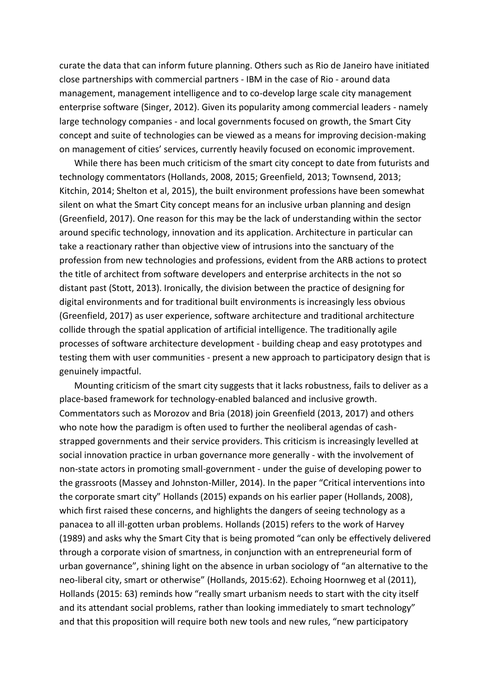curate the data that can inform future planning. Others such as Rio de Janeiro have initiated close partnerships with commercial partners - IBM in the case of Rio - around data management, management intelligence and to co-develop large scale city management enterprise software (Singer, 2012). Given its popularity among commercial leaders - namely large technology companies - and local governments focused on growth, the Smart City concept and suite of technologies can be viewed as a means for improving decision-making on management of cities' services, currently heavily focused on economic improvement.

While there has been much criticism of the smart city concept to date from futurists and technology commentators (Hollands, 2008, 2015; Greenfield, 2013; Townsend, 2013; Kitchin, 2014; Shelton et al, 2015), the built environment professions have been somewhat silent on what the Smart City concept means for an inclusive urban planning and design (Greenfield, 2017). One reason for this may be the lack of understanding within the sector around specific technology, innovation and its application. Architecture in particular can take a reactionary rather than objective view of intrusions into the sanctuary of the profession from new technologies and professions, evident from the ARB actions to protect the title of architect from software developers and enterprise architects in the not so distant past (Stott, 2013). Ironically, the division between the practice of designing for digital environments and for traditional built environments is increasingly less obvious (Greenfield, 2017) as user experience, software architecture and traditional architecture collide through the spatial application of artificial intelligence. The traditionally agile processes of software architecture development - building cheap and easy prototypes and testing them with user communities - present a new approach to participatory design that is genuinely impactful.

Mounting criticism of the smart city suggests that it lacks robustness, fails to deliver as a place-based framework for technology-enabled balanced and inclusive growth. Commentators such as Morozov and Bria (2018) join Greenfield (2013, 2017) and others who note how the paradigm is often used to further the neoliberal agendas of cashstrapped governments and their service providers. This criticism is increasingly levelled at social innovation practice in urban governance more generally - with the involvement of non-state actors in promoting small-government - under the guise of developing power to the grassroots (Massey and Johnston-Miller, 2014). In the paper "Critical interventions into the corporate smart city" Hollands (2015) expands on his earlier paper (Hollands, 2008), which first raised these concerns, and highlights the dangers of seeing technology as a panacea to all ill-gotten urban problems. Hollands (2015) refers to the work of Harvey (1989) and asks why the Smart City that is being promoted "can only be effectively delivered through a corporate vision of smartness, in conjunction with an entrepreneurial form of urban governance", shining light on the absence in urban sociology of "an alternative to the neo-liberal city, smart or otherwise" (Hollands, 2015:62). Echoing Hoornweg et al (2011), Hollands (2015: 63) reminds how "really smart urbanism needs to start with the city itself and its attendant social problems, rather than looking immediately to smart technology" and that this proposition will require both new tools and new rules, "new participatory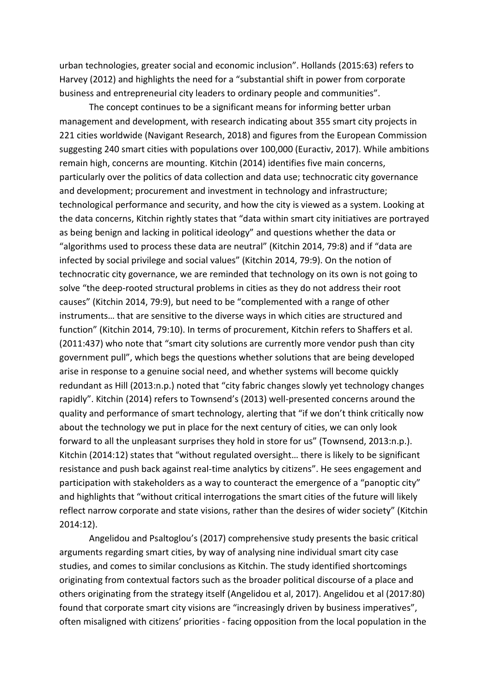urban technologies, greater social and economic inclusion". Hollands (2015:63) refers to Harvey (2012) and highlights the need for a "substantial shift in power from corporate business and entrepreneurial city leaders to ordinary people and communities".

The concept continues to be a significant means for informing better urban management and development, with research indicating about 355 smart city projects in 221 cities worldwide (Navigant Research, 2018) and figures from the European Commission suggesting 240 smart cities with populations over 100,000 (Euractiv, 2017). While ambitions remain high, concerns are mounting. Kitchin (2014) identifies five main concerns, particularly over the politics of data collection and data use; technocratic city governance and development; procurement and investment in technology and infrastructure; technological performance and security, and how the city is viewed as a system. Looking at the data concerns, Kitchin rightly states that "data within smart city initiatives are portrayed as being benign and lacking in political ideology" and questions whether the data or "algorithms used to process these data are neutral" (Kitchin 2014, 79:8) and if "data are infected by social privilege and social values" (Kitchin 2014, 79:9). On the notion of technocratic city governance, we are reminded that technology on its own is not going to solve "the deep-rooted structural problems in cities as they do not address their root causes" (Kitchin 2014, 79:9), but need to be "complemented with a range of other instruments… that are sensitive to the diverse ways in which cities are structured and function" (Kitchin 2014, 79:10). In terms of procurement, Kitchin refers to Shaffers et al. (2011:437) who note that "smart city solutions are currently more vendor push than city government pull", which begs the questions whether solutions that are being developed arise in response to a genuine social need, and whether systems will become quickly redundant as Hill (2013:n.p.) noted that "city fabric changes slowly yet technology changes rapidly". Kitchin (2014) refers to Townsend's (2013) well-presented concerns around the quality and performance of smart technology, alerting that "if we don't think critically now about the technology we put in place for the next century of cities, we can only look forward to all the unpleasant surprises they hold in store for us" (Townsend, 2013:n.p.). Kitchin (2014:12) states that "without regulated oversight… there is likely to be significant resistance and push back against real-time analytics by citizens". He sees engagement and participation with stakeholders as a way to counteract the emergence of a "panoptic city" and highlights that "without critical interrogations the smart cities of the future will likely reflect narrow corporate and state visions, rather than the desires of wider society" (Kitchin 2014:12).

Angelidou and Psaltoglou's (2017) comprehensive study presents the basic critical arguments regarding smart cities, by way of analysing nine individual smart city case studies, and comes to similar conclusions as Kitchin. The study identified shortcomings originating from contextual factors such as the broader political discourse of a place and others originating from the strategy itself (Angelidou et al, 2017). Angelidou et al (2017:80) found that corporate smart city visions are "increasingly driven by business imperatives", often misaligned with citizens' priorities - facing opposition from the local population in the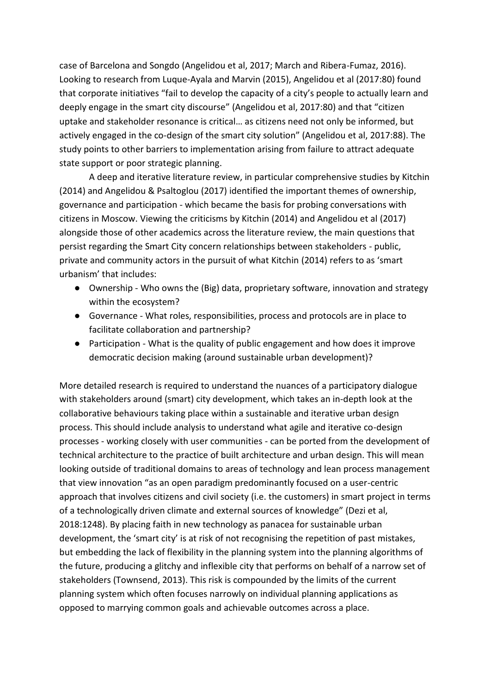case of Barcelona and Songdo (Angelidou et al, 2017; March and Ribera-Fumaz, 2016). Looking to research from Luque-Ayala and Marvin (2015), Angelidou et al (2017:80) found that corporate initiatives "fail to develop the capacity of a city's people to actually learn and deeply engage in the smart city discourse" (Angelidou et al, 2017:80) and that "citizen uptake and stakeholder resonance is critical… as citizens need not only be informed, but actively engaged in the co-design of the smart city solution" (Angelidou et al, 2017:88). The study points to other barriers to implementation arising from failure to attract adequate state support or poor strategic planning.

A deep and iterative literature review, in particular comprehensive studies by Kitchin (2014) and Angelidou & Psaltoglou (2017) identified the important themes of ownership, governance and participation - which became the basis for probing conversations with citizens in Moscow. Viewing the criticisms by Kitchin (2014) and Angelidou et al (2017) alongside those of other academics across the literature review, the main questions that persist regarding the Smart City concern relationships between stakeholders - public, private and community actors in the pursuit of what Kitchin (2014) refers to as 'smart urbanism' that includes:

- Ownership Who owns the (Big) data, proprietary software, innovation and strategy within the ecosystem?
- Governance What roles, responsibilities, process and protocols are in place to facilitate collaboration and partnership?
- Participation What is the quality of public engagement and how does it improve democratic decision making (around sustainable urban development)?

More detailed research is required to understand the nuances of a participatory dialogue with stakeholders around (smart) city development, which takes an in-depth look at the collaborative behaviours taking place within a sustainable and iterative urban design process. This should include analysis to understand what agile and iterative co-design processes - working closely with user communities - can be ported from the development of technical architecture to the practice of built architecture and urban design. This will mean looking outside of traditional domains to areas of technology and lean process management that view innovation "as an open paradigm predominantly focused on a user-centric approach that involves citizens and civil society (i.e. the customers) in smart project in terms of a technologically driven climate and external sources of knowledge" (Dezi et al, 2018:1248). By placing faith in new technology as panacea for sustainable urban development, the 'smart city' is at risk of not recognising the repetition of past mistakes, but embedding the lack of flexibility in the planning system into the planning algorithms of the future, producing a glitchy and inflexible city that performs on behalf of a narrow set of stakeholders (Townsend, 2013). This risk is compounded by the limits of the current planning system which often focuses narrowly on individual planning applications as opposed to marrying common goals and achievable outcomes across a place.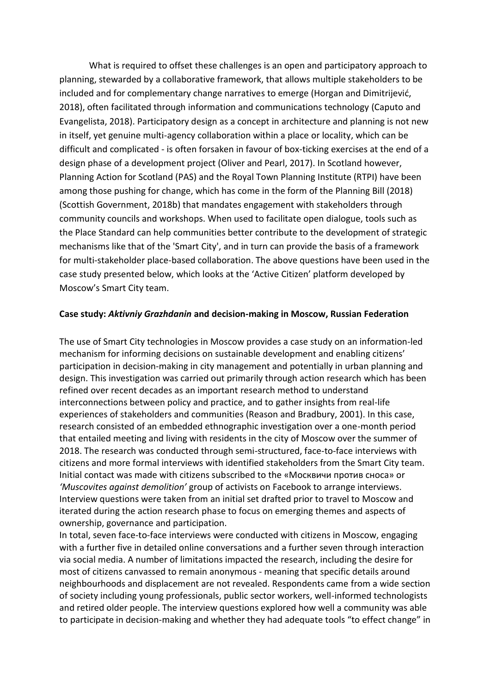What is required to offset these challenges is an open and participatory approach to planning, stewarded by a collaborative framework, that allows multiple stakeholders to be included and for complementary change narratives to emerge (Horgan and Dimitrijević, 2018), often facilitated through information and communications technology (Caputo and Evangelista, 2018). Participatory design as a concept in architecture and planning is not new in itself, yet genuine multi-agency collaboration within a place or locality, which can be difficult and complicated - is often forsaken in favour of box-ticking exercises at the end of a design phase of a development project (Oliver and Pearl, 2017). In Scotland however, Planning Action for Scotland (PAS) and the Royal Town Planning Institute (RTPI) have been among those pushing for change, which has come in the form of the Planning Bill (2018) (Scottish Government, 2018b) that mandates engagement with stakeholders through community councils and workshops. When used to facilitate open dialogue, tools such as the Place Standard can help communities better contribute to the development of strategic mechanisms like that of the 'Smart City', and in turn can provide the basis of a framework for multi-stakeholder place-based collaboration. The above questions have been used in the case study presented below, which looks at the 'Active Citizen' platform developed by Moscow's Smart City team.

#### **Case study:** *Aktivniy Grazhdanin* **and decision-making in Moscow, Russian Federation**

The use of Smart City technologies in Moscow provides a case study on an information-led mechanism for informing decisions on sustainable development and enabling citizens' participation in decision-making in city management and potentially in urban planning and design. This investigation was carried out primarily through action research which has been refined over recent decades as an important research method to understand interconnections between policy and practice, and to gather insights from real-life experiences of stakeholders and communities (Reason and Bradbury, 2001). In this case, research consisted of an embedded ethnographic investigation over a one-month period that entailed meeting and living with residents in the city of Moscow over the summer of 2018. The research was conducted through semi-structured, face-to-face interviews with citizens and more formal interviews with identified stakeholders from the Smart City team. Initial contact was made with citizens subscribed to the «Москвичи против сноса» or *'Muscovites against demolition'* group of activists on Facebook to arrange interviews. Interview questions were taken from an initial set drafted prior to travel to Moscow and iterated during the action research phase to focus on emerging themes and aspects of ownership, governance and participation.

In total, seven face-to-face interviews were conducted with citizens in Moscow, engaging with a further five in detailed online conversations and a further seven through interaction via social media. A number of limitations impacted the research, including the desire for most of citizens canvassed to remain anonymous - meaning that specific details around neighbourhoods and displacement are not revealed. Respondents came from a wide section of society including young professionals, public sector workers, well-informed technologists and retired older people. The interview questions explored how well a community was able to participate in decision-making and whether they had adequate tools "to effect change" in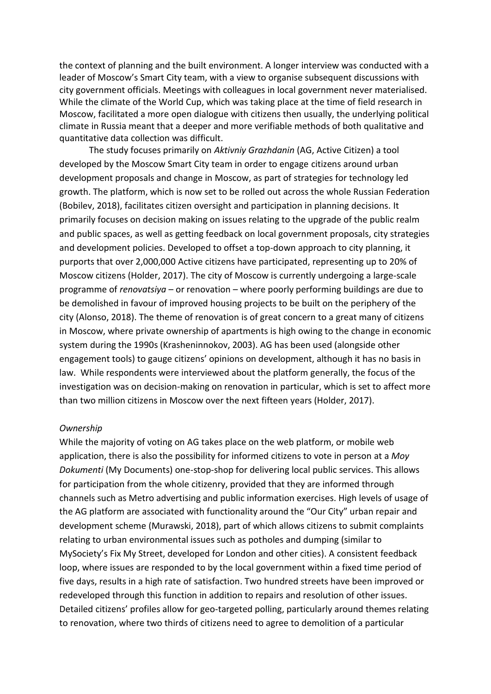the context of planning and the built environment. A longer interview was conducted with a leader of Moscow's Smart City team, with a view to organise subsequent discussions with city government officials. Meetings with colleagues in local government never materialised. While the climate of the World Cup, which was taking place at the time of field research in Moscow, facilitated a more open dialogue with citizens then usually, the underlying political climate in Russia meant that a deeper and more verifiable methods of both qualitative and quantitative data collection was difficult.

The study focuses primarily on *Aktivniy Grazhdanin* (AG, Active Citizen) a tool developed by the Moscow Smart City team in order to engage citizens around urban development proposals and change in Moscow, as part of strategies for technology led growth. The platform, which is now set to be rolled out across the whole Russian Federation (Bobilev, 2018), facilitates citizen oversight and participation in planning decisions. It primarily focuses on decision making on issues relating to the upgrade of the public realm and public spaces, as well as getting feedback on local government proposals, city strategies and development policies. Developed to offset a top-down approach to city planning, it purports that over 2,000,000 Active citizens have participated, representing up to 20% of Moscow citizens (Holder, 2017). The city of Moscow is currently undergoing a large-scale programme of *renovatsiya* – or renovation – where poorly performing buildings are due to be demolished in favour of improved housing projects to be built on the periphery of the city (Alonso, 2018). The theme of renovation is of great concern to a great many of citizens in Moscow, where private ownership of apartments is high owing to the change in economic system during the 1990s (Krasheninnokov, 2003). AG has been used (alongside other engagement tools) to gauge citizens' opinions on development, although it has no basis in law. While respondents were interviewed about the platform generally, the focus of the investigation was on decision-making on renovation in particular, which is set to affect more than two million citizens in Moscow over the next fifteen years (Holder, 2017).

#### *Ownership*

While the majority of voting on AG takes place on the web platform, or mobile web application, there is also the possibility for informed citizens to vote in person at a *Moy Dokumenti* (My Documents) one-stop-shop for delivering local public services. This allows for participation from the whole citizenry, provided that they are informed through channels such as Metro advertising and public information exercises. High levels of usage of the AG platform are associated with functionality around the "Our City" urban repair and development scheme (Murawski, 2018), part of which allows citizens to submit complaints relating to urban environmental issues such as potholes and dumping (similar to MySociety's Fix My Street, developed for London and other cities). A consistent feedback loop, where issues are responded to by the local government within a fixed time period of five days, results in a high rate of satisfaction. Two hundred streets have been improved or redeveloped through this function in addition to repairs and resolution of other issues. Detailed citizens' profiles allow for geo-targeted polling, particularly around themes relating to renovation, where two thirds of citizens need to agree to demolition of a particular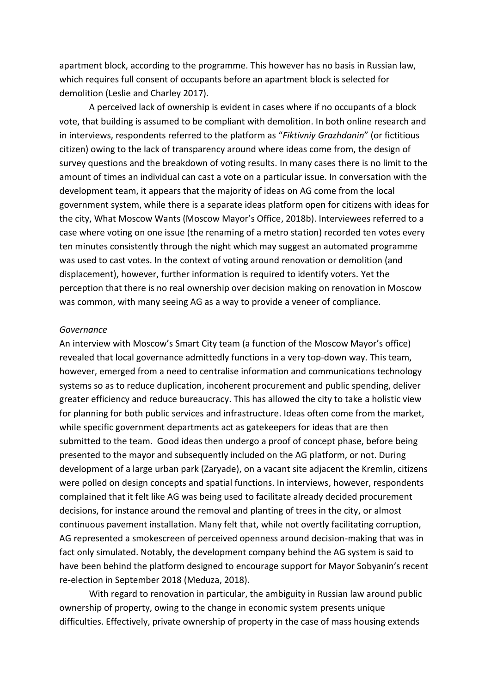apartment block, according to the programme. This however has no basis in Russian law, which requires full consent of occupants before an apartment block is selected for demolition (Leslie and Charley 2017).

A perceived lack of ownership is evident in cases where if no occupants of a block vote, that building is assumed to be compliant with demolition. In both online research and in interviews, respondents referred to the platform as "*Fiktivniy Grazhdanin*" (or fictitious citizen) owing to the lack of transparency around where ideas come from, the design of survey questions and the breakdown of voting results. In many cases there is no limit to the amount of times an individual can cast a vote on a particular issue. In conversation with the development team, it appears that the majority of ideas on AG come from the local government system, while there is a separate ideas platform open for citizens with ideas for the city, What Moscow Wants (Moscow Mayor's Office, 2018b). Interviewees referred to a case where voting on one issue (the renaming of a metro station) recorded ten votes every ten minutes consistently through the night which may suggest an automated programme was used to cast votes. In the context of voting around renovation or demolition (and displacement), however, further information is required to identify voters. Yet the perception that there is no real ownership over decision making on renovation in Moscow was common, with many seeing AG as a way to provide a veneer of compliance.

#### *Governance*

An interview with Moscow's Smart City team (a function of the Moscow Mayor's office) revealed that local governance admittedly functions in a very top-down way. This team, however, emerged from a need to centralise information and communications technology systems so as to reduce duplication, incoherent procurement and public spending, deliver greater efficiency and reduce bureaucracy. This has allowed the city to take a holistic view for planning for both public services and infrastructure. Ideas often come from the market, while specific government departments act as gatekeepers for ideas that are then submitted to the team. Good ideas then undergo a proof of concept phase, before being presented to the mayor and subsequently included on the AG platform, or not. During development of a large urban park (Zaryade), on a vacant site adjacent the Kremlin, citizens were polled on design concepts and spatial functions. In interviews, however, respondents complained that it felt like AG was being used to facilitate already decided procurement decisions, for instance around the removal and planting of trees in the city, or almost continuous pavement installation. Many felt that, while not overtly facilitating corruption, AG represented a smokescreen of perceived openness around decision-making that was in fact only simulated. Notably, the development company behind the AG system is said to have been behind the platform designed to encourage support for Mayor Sobyanin's recent re-election in September 2018 (Meduza, 2018).

With regard to renovation in particular, the ambiguity in Russian law around public ownership of property, owing to the change in economic system presents unique difficulties. Effectively, private ownership of property in the case of mass housing extends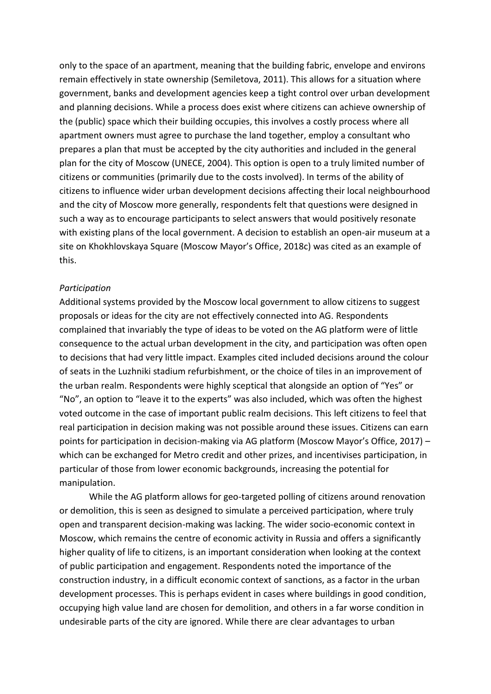only to the space of an apartment, meaning that the building fabric, envelope and environs remain effectively in state ownership (Semiletova, 2011). This allows for a situation where government, banks and development agencies keep a tight control over urban development and planning decisions. While a process does exist where citizens can achieve ownership of the (public) space which their building occupies, this involves a costly process where all apartment owners must agree to purchase the land together, employ a consultant who prepares a plan that must be accepted by the city authorities and included in the general plan for the city of Moscow (UNECE, 2004). This option is open to a truly limited number of citizens or communities (primarily due to the costs involved). In terms of the ability of citizens to influence wider urban development decisions affecting their local neighbourhood and the city of Moscow more generally, respondents felt that questions were designed in such a way as to encourage participants to select answers that would positively resonate with existing plans of the local government. A decision to establish an open-air museum at a site on Khokhlovskaya Square (Moscow Mayor's Office, 2018c) was cited as an example of this.

## *Participation*

Additional systems provided by the Moscow local government to allow citizens to suggest proposals or ideas for the city are not effectively connected into AG. Respondents complained that invariably the type of ideas to be voted on the AG platform were of little consequence to the actual urban development in the city, and participation was often open to decisions that had very little impact. Examples cited included decisions around the colour of seats in the Luzhniki stadium refurbishment, or the choice of tiles in an improvement of the urban realm. Respondents were highly sceptical that alongside an option of "Yes" or "No", an option to "leave it to the experts" was also included, which was often the highest voted outcome in the case of important public realm decisions. This left citizens to feel that real participation in decision making was not possible around these issues. Citizens can earn points for participation in decision-making via AG platform (Moscow Mayor's Office, 2017) – which can be exchanged for Metro credit and other prizes, and incentivises participation, in particular of those from lower economic backgrounds, increasing the potential for manipulation.

While the AG platform allows for geo-targeted polling of citizens around renovation or demolition, this is seen as designed to simulate a perceived participation, where truly open and transparent decision-making was lacking. The wider socio-economic context in Moscow, which remains the centre of economic activity in Russia and offers a significantly higher quality of life to citizens, is an important consideration when looking at the context of public participation and engagement. Respondents noted the importance of the construction industry, in a difficult economic context of sanctions, as a factor in the urban development processes. This is perhaps evident in cases where buildings in good condition, occupying high value land are chosen for demolition, and others in a far worse condition in undesirable parts of the city are ignored. While there are clear advantages to urban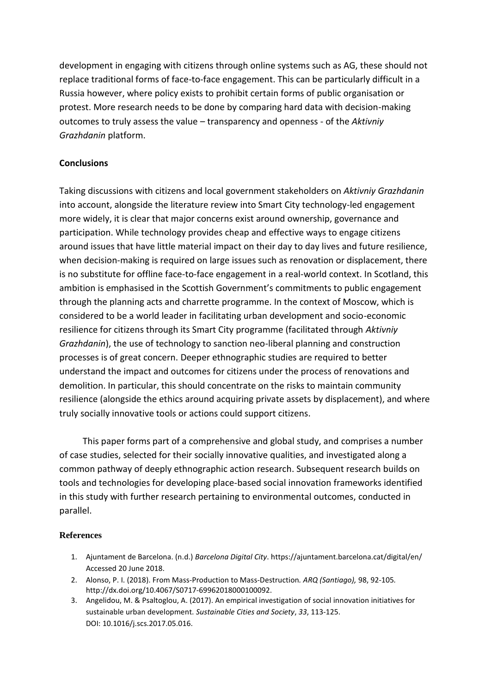development in engaging with citizens through online systems such as AG, these should not replace traditional forms of face-to-face engagement. This can be particularly difficult in a Russia however, where policy exists to prohibit certain forms of public organisation or protest. More research needs to be done by comparing hard data with decision-making outcomes to truly assess the value – transparency and openness - of the *Aktivniy Grazhdanin* platform.

# **Conclusions**

Taking discussions with citizens and local government stakeholders on *Aktivniy Grazhdanin* into account, alongside the literature review into Smart City technology-led engagement more widely, it is clear that major concerns exist around ownership, governance and participation. While technology provides cheap and effective ways to engage citizens around issues that have little material impact on their day to day lives and future resilience, when decision-making is required on large issues such as renovation or displacement, there is no substitute for offline face-to-face engagement in a real-world context. In Scotland, this ambition is emphasised in the Scottish Government's commitments to public engagement through the planning acts and charrette programme. In the context of Moscow, which is considered to be a world leader in facilitating urban development and socio-economic resilience for citizens through its Smart City programme (facilitated through *Aktivniy Grazhdanin*), the use of technology to sanction neo-liberal planning and construction processes is of great concern. Deeper ethnographic studies are required to better understand the impact and outcomes for citizens under the process of renovations and demolition. In particular, this should concentrate on the risks to maintain community resilience (alongside the ethics around acquiring private assets by displacement), and where truly socially innovative tools or actions could support citizens.

This paper forms part of a comprehensive and global study, and comprises a number of case studies, selected for their socially innovative qualities, and investigated along a common pathway of deeply ethnographic action research. Subsequent research builds on tools and technologies for developing place-based social innovation frameworks identified in this study with further research pertaining to environmental outcomes, conducted in parallel.

## **References**

- 1. Ajuntament de Barcelona. (n.d.) *Barcelona Digital City*. https://ajuntament.barcelona.cat/digital/en/ Accessed 20 June 2018.
- 2. Alonso, P. I. (2018). From Mass-Production to Mass-Destruction*. ARQ (Santiago),* 98, 92-105*.*  http://dx.doi.org/10.4067/S0717-69962018000100092.
- 3. Angelidou, M. & Psaltoglou, A. (2017). An empirical investigation of social innovation initiatives for sustainable urban development. *Sustainable Cities and Society*, *33*, 113-125. DOI: 10.1016/j.scs.2017.05.016.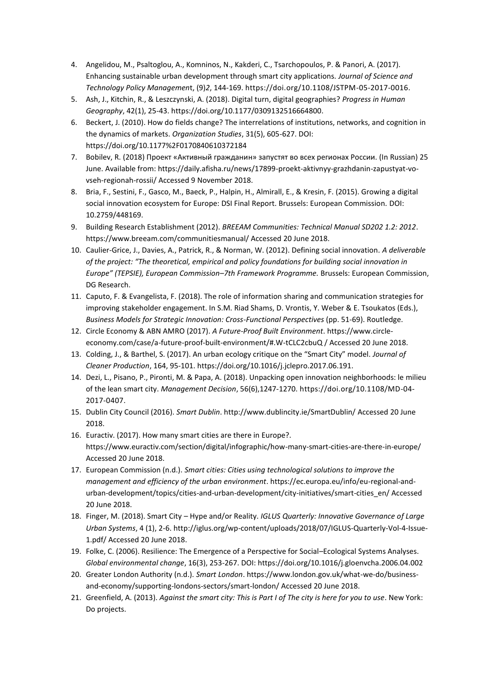- 4. Angelidou, M., Psaltoglou, A., Komninos, N., Kakderi, C., Tsarchopoulos, P. & Panori, A. (2017). Enhancing sustainable urban development through smart city applications. *Journal of Science and Technology Policy Managemen*t, (9)*2*, 144-169[. https://doi.org/10.1108/JSTPM-05-2017-0016.](https://doi.org/10.1108/JSTPM-05-2017-0016)
- 5. Ash, J., Kitchin, R., & Leszczynski, A. (2018). Digital turn, digital geographies? *Progress in Human Geography*, 42(1), 25-43. https://doi.org/10.1177/0309132516664800.
- 6. Beckert, J. (2010). How do fields change? The interrelations of institutions, networks, and cognition in the dynamics of markets. *Organization Studies*, 31(5), 605-627. DOI: https://doi.org/10.1177%2F0170840610372184
- 7. Bobilev, R. (2018) Проект «Активный гражданин» запустят во всех регионах России. (In Russian) 25 June. Available from: https://daily.afisha.ru/news/17899-proekt-aktivnyy-grazhdanin-zapustyat-vovseh-regionah-rossii/ Accessed 9 November 2018.
- 8. Bria, F., Sestini, F., Gasco, M., Baeck, P., Halpin, H., Almirall, E., & Kresin, F. (2015). Growing a digital social innovation ecosystem for Europe: DSI Final Report. Brussels: European Commission. DOI: 10.2759/448169.
- 9. Building Research Establishment (2012). *BREEAM Communities: Technical Manual SD202 1.2: 2012*. https://www.breeam.com/communitiesmanual/ Accessed 20 June 2018.
- 10. Caulier-Grice, J., Davies, A., Patrick, R., & Norman, W. (2012). Defining social innovation. *A deliverable of the project: "The theoretical, empirical and policy foundations for building social innovation in Europe" (TEPSIE), European Commission–7th Framework Programme.* Brussels: European Commission, DG Research.
- 11. Caputo, F. & Evangelista, F. (2018). The role of information sharing and communication strategies for improving stakeholder engagement. In S.M. Riad Shams, D. Vrontis, Y. Weber & E. Tsoukatos (Eds.), *Business Models for Strategic Innovation: Cross-Functional Perspectives* (pp. 51-69). Routledge.
- 12. Circle Economy & ABN AMRO (2017). *A Future-Proof Built Environment*. https://www.circleeconomy.com/case/a-future-proof-built-environment/#.W-tCLC2cbuQ / Accessed 20 June 2018.
- 13. Colding, J., & Barthel, S. (2017). An urban ecology critique on the "Smart City" model. *Journal of Cleaner Production*, 164, 95-101. https://doi.org/10.1016/j.jclepro.2017.06.191.
- 14. Dezi, L., Pisano, P., Pironti, M. & Papa, A. (2018). Unpacking open innovation neighborhoods: le milieu of the lean smart city. *Management Decision*, 56(6),1247-1270. https://doi.org/10.1108/MD-04- 2017-0407.
- 15. Dublin City Council (2016). *Smart Dublin*. http://www.dublincity.ie/SmartDublin/ Accessed 20 June 2018.
- 16. Euractiv. (2017). How many smart cities are there in Europe?. https://www.euractiv.com/section/digital/infographic/how-many-smart-cities-are-there-in-europe/ Accessed 20 June 2018.
- 17. European Commission (n.d.). *Smart cities: Cities using technological solutions to improve the management and efficiency of the urban environment*. https://ec.europa.eu/info/eu-regional-andurban-development/topics/cities-and-urban-development/city-initiatives/smart-cities\_en/ Accessed 20 June 2018.
- 18. Finger, M. (2018). Smart City Hype and/or Reality. *IGLUS Quarterly: Innovative Governance of Large Urban Systems*, 4 (1), 2-6. http://iglus.org/wp-content/uploads/2018/07/IGLUS-Quarterly-Vol-4-Issue-1.pdf/ Accessed 20 June 2018.
- 19. Folke, C. (2006). Resilience: The Emergence of a Perspective for Social–Ecological Systems Analyses. *Global environmental change*, 16(3), 253-267. DOI: https://doi.org/10.1016/j.gloenvcha.2006.04.002
- 20. Greater London Authority (n.d.). *Smart London*. https://www.london.gov.uk/what-we-do/businessand-economy/supporting-londons-sectors/smart-london/ Accessed 20 June 2018.
- 21. Greenfield, A. (2013). *Against the smart city: This is Part I of The city is here for you to use*. New York: Do projects.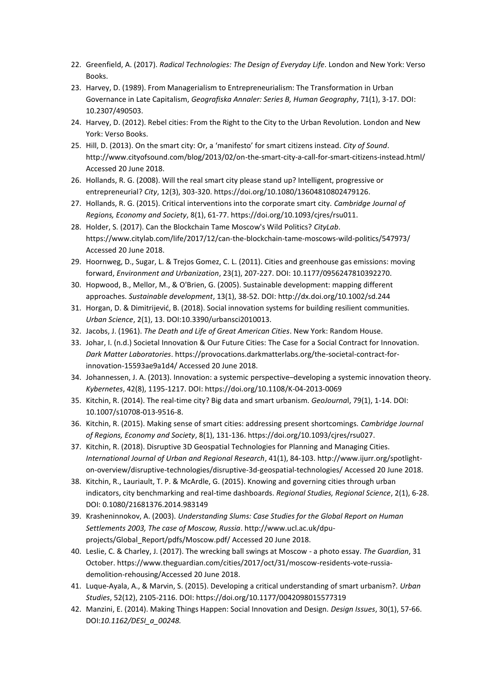- 22. Greenfield, A. (2017). *Radical Technologies: The Design of Everyday Life*. London and New York: Verso Books.
- 23. Harvey, D. (1989). From Managerialism to Entrepreneurialism: The Transformation in Urban Governance in Late Capitalism, *Geografiska Annaler: Series B, Human Geography*, 71(1), 3-17. DOI: 10.2307/490503.
- 24. Harvey, D. (2012). Rebel cities: From the Right to the City to the Urban Revolution. London and New York: Verso Books.
- 25. Hill, D. (2013). On the smart city: Or, a 'manifesto' for smart citizens instead. *City of Sound*. http://www.cityofsound.com/blog/2013/02/on-the-smart-city-a-call-for-smart-citizens-instead.html/ Accessed 20 June 2018.
- 26. Hollands, R. G. (2008). Will the real smart city please stand up? Intelligent, progressive or entrepreneurial? *City*, 12(3), 303-320. https://doi.org/10.1080/13604810802479126.
- 27. Hollands, R. G. (2015). Critical interventions into the corporate smart city. *Cambridge Journal of Regions, Economy and Society*, 8(1), 61-77. https://doi.org/10.1093/cjres/rsu011.
- 28. Holder, S. (2017). Can the Blockchain Tame Moscow's Wild Politics? *CityLab*. https://www.citylab.com/life/2017/12/can-the-blockchain-tame-moscows-wild-politics/547973/ Accessed 20 June 2018.
- 29. Hoornweg, D., Sugar, L. & Trejos Gomez, C. L. (2011). Cities and greenhouse gas emissions: moving forward, *Environment and Urbanization*, 23(1), 207-227. DOI: 10.1177/0956247810392270.
- 30. Hopwood, B., Mellor, M., & O'Brien, G. (2005). Sustainable development: mapping different approaches. *Sustainable development*, 13(1), 38-52. DOI: http://dx.doi.org/10.1002/sd.244
- 31. Horgan, D. & Dimitrijević, B. (2018). Social innovation systems for building resilient communities. *Urban Science*, 2(1), 13. DOI:10.3390/urbansci2010013.
- 32. Jacobs, J. (1961). *The Death and Life of Great American Cities*. New York: Random House.
- 33. Johar, I. (n.d.) Societal Innovation & Our Future Cities: The Case for a Social Contract for Innovation. *Dark Matter Laboratories*. https://provocations.darkmatterlabs.org/the-societal-contract-forinnovation-15593ae9a1d4/ Accessed 20 June 2018.
- 34. Johannessen, J. A. (2013). Innovation: a systemic perspective–developing a systemic innovation theory. *Kybernetes*, 42(8), 1195-1217. DOI: https://doi.org/10.1108/K-04-2013-0069
- 35. Kitchin, R. (2014). The real-time city? Big data and smart urbanism. *GeoJourna*l, 79(1), 1-14. DOI: 10.1007/s10708-013-9516-8.
- 36. Kitchin, R. (2015). Making sense of smart cities: addressing present shortcomings. *Cambridge Journal of Regions, Economy and Society*, 8(1), 131-136. https://doi.org/10.1093/cjres/rsu027.
- 37. Kitchin, R. (2018). Disruptive 3D Geospatial Technologies for Planning and Managing Cities. *International Journal of Urban and Regional Research*, 41(1), 84-103. http://www.ijurr.org/spotlighton-overview/disruptive-technologies/disruptive-3d-geospatial-technologies/ Accessed 20 June 2018.
- 38. Kitchin, R., Lauriault, T. P. & McArdle, G. (2015). Knowing and governing cities through urban indicators, city benchmarking and real-time dashboards. *Regional Studies, Regional Science*, 2(1), 6-28. DOI[: 0.1080/21681376.2014.983149](https://rsa.tandfonline.com/doi/full/10.1080/21681376.2014.983149)
- 39. Krasheninnokov, A. (2003). *Understanding Slums: Case Studies for the Global Report on Human Settlements 2003, The case of Moscow, Russia*. http://www.ucl.ac.uk/dpuprojects/Global\_Report/pdfs/Moscow.pdf/ Accessed 20 June 2018.
- 40. Leslie, C. & Charley, J. (2017). The wrecking ball swings at Moscow a photo essay. *The Guardian*, 31 October. https://www.theguardian.com/cities/2017/oct/31/moscow-residents-vote-russiademolition-rehousing/Accessed 20 June 2018.
- 41. Luque-Ayala, A., & Marvin, S. (2015). Developing a critical understanding of smart urbanism?. *Urban Studies*, 52(12), 2105-2116. DOI: https://doi.org/10.1177/0042098015577319
- 42. Manzini, E. (2014). Making Things Happen: Social Innovation and Design. *Design Issues*, 30(1), 57-66. DOI:*[10.1162/DESI\\_a\\_00248.](https://www.mitpressjournals.org/doi/10.1162/DESI_a_00248)*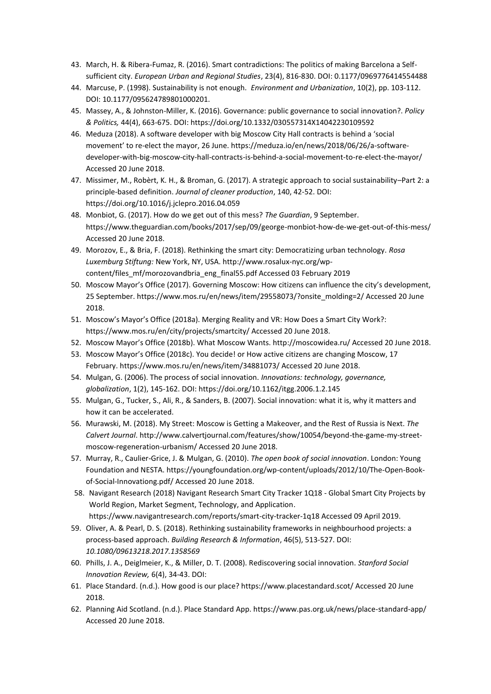- 43. March, H. & Ribera-Fumaz, R. (2016). Smart contradictions: The politics of making Barcelona a Selfsufficient city. *European Urban and Regional Studies*, 23(4), 816-830. DOI: 0.1177/0969776414554488
- 44. Marcuse, P. (1998). Sustainability is not enough. *Environment and Urbanization*, 10(2), pp. 103-112. DOI: 10.1177/095624789801000201.
- 45. Massey, A., & Johnston-Miller, K. (2016). Governance: public governance to social innovation?. *Policy & Politics,* 44(4), 663-675. DOI: https://doi.org/10.1332/030557314X14042230109592
- 46. Meduza (2018). A software developer with big Moscow City Hall contracts is behind a 'social movement' to re-elect the mayor, 26 June. https://meduza.io/en/news/2018/06/26/a-softwaredeveloper-with-big-moscow-city-hall-contracts-is-behind-a-social-movement-to-re-elect-the-mayor/ Accessed 20 June 2018.
- 47. Missimer, M., Robèrt, K. H., & Broman, G. (2017). A strategic approach to social sustainability–Part 2: a principle-based definition. *Journal of cleaner production*, 140, 42-52. DOI: https://doi.org/10.1016/j.jclepro.2016.04.059
- 48. Monbiot, G. (2017). How do we get out of this mess? *The Guardian*, 9 September. https://www.theguardian.com/books/2017/sep/09/george-monbiot-how-de-we-get-out-of-this-mess/ Accessed 20 June 2018.
- 49. Morozov, E., & Bria, F. (2018). Rethinking the smart city: Democratizing urban technology. *Rosa Luxemburg Stiftung:* New York, NY, USA. http://www.rosalux-nyc.org/wpcontent/files\_mf/morozovandbria\_eng\_final55.pdf Accessed 03 February 2019
- 50. Moscow Mayor's Office (2017). Governing Moscow: How citizens can influence the city's development, 25 September. https://www.mos.ru/en/news/item/29558073/?onsite\_molding=2/ Accessed 20 June 2018.
- 51. Moscow's Mayor's Office (2018a). Merging Reality and VR: How Does a Smart City Work?: https://www.mos.ru/en/city/projects/smartcity/ Accessed 20 June 2018.
- 52. Moscow Mayor's Office (2018b). What Moscow Wants. http://moscowidea.ru/ Accessed 20 June 2018.
- 53. Moscow Mayor's Office (2018c). You decide! or How active citizens are changing Moscow, 17 February. https://www.mos.ru/en/news/item/34881073/ Accessed 20 June 2018.
- 54. Mulgan, G. (2006). The process of social innovation. *Innovations: technology, governance, globalization*, 1(2), 145-162. DOI: https://doi.org/10.1162/itgg.2006.1.2.145
- 55. Mulgan, G., Tucker, S., Ali, R., & Sanders, B. (2007). Social innovation: what it is, why it matters and how it can be accelerated.
- 56. Murawski, M. (2018). My Street: Moscow is Getting a Makeover, and the Rest of Russia is Next. *The Calvert Journal*. http://www.calvertjournal.com/features/show/10054/beyond-the-game-my-streetmoscow-regeneration-urbanism/ Accessed 20 June 2018.
- 57. Murray, R., Caulier-Grice, J. & Mulgan, G. (2010). *The open book of social innovation*. London: Young Foundation and NESTA. https://youngfoundation.org/wp-content/uploads/2012/10/The-Open-Bookof-Social-Innovationg.pdf/ Accessed 20 June 2018.
- 58. Navigant Research (2018) Navigant Research Smart City Tracker 1Q18 Global Smart City Projects by World Region, Market Segment, Technology, and Application. https://www.navigantresearch.com/reports/smart-city-tracker-1q18 Accessed 09 April 2019.
- 59. Oliver, A. & Pearl, D. S. (2018). Rethinking sustainability frameworks in neighbourhood projects: a process-based approach. *Building Research & Information*, 46(5), 513-527. DOI: *[10.1080/09613218.2017.1358569](https://www.tandfonline.com/doi/abs/10.1080/09613218.2017.1358569)*
- 60. Phills, J. A., Deiglmeier, K., & Miller, D. T. (2008). Rediscovering social innovation. *Stanford Social Innovation Review,* 6(4), 34-43. DOI:
- 61. Place Standard. (n.d.). How good is our place? https://www.placestandard.scot/ Accessed 20 June 2018.
- 62. Planning Aid Scotland. (n.d.). Place Standard App. https://www.pas.org.uk/news/place-standard-app/ Accessed 20 June 2018.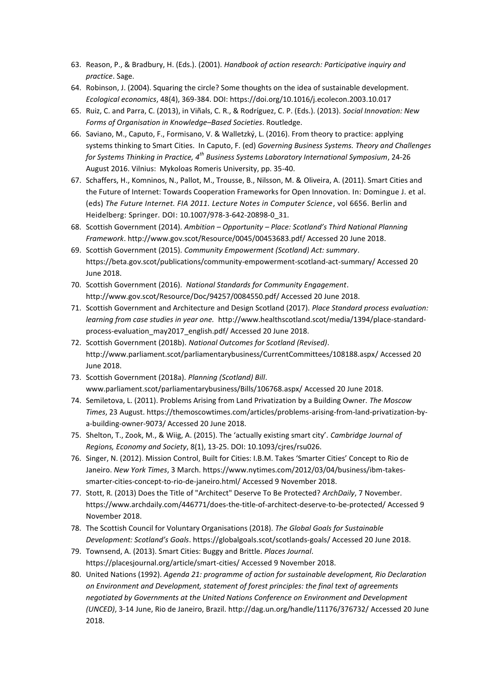- 63. Reason, P., & Bradbury, H. (Eds.). (2001). *Handbook of action research: Participative inquiry and practice*. Sage.
- 64. Robinson, J. (2004). Squaring the circle? Some thoughts on the idea of sustainable development. *Ecological economics*, 48(4), 369-384. DOI: https://doi.org/10.1016/j.ecolecon.2003.10.017
- 65. Ruiz, C. and Parra, C. (2013), in Viñals, C. R., & Rodríguez, C. P. (Eds.). (2013). *Social Innovation: New Forms of Organisation in Knowledge–Based Societies*. Routledge.
- 66. Saviano, M., Caputo, F., Formisano, V. & Walletzký, L. (2016). From theory to practice: applying systems thinking to Smart Cities. In Caputo, F. (ed) *Governing Business Systems. Theory and Challenges for Systems Thinking in Practice, 4th Business Systems Laboratory International Symposium*, 24-26 August 2016. Vilnius: Mykoloas Romeris University, pp. 35-40.
- 67. Schaffers, H., Komninos, N., Pallot, M., Trousse, B., Nilsson, M. & Oliveira, A. (2011). Smart Cities and the Future of Internet: Towards Cooperation Frameworks for Open Innovation. In: Domingue J. et al. (eds) *The Future Internet. FIA 2011. Lecture Notes in Computer Science*, vol 6656. Berlin and Heidelberg: Springer. DOI: [10.1007/978-3-642-20898-0\\_31.](https://link.springer.com/chapter/10.1007/978-3-642-20898-0_31)
- 68. Scottish Government (2014). *Ambition – Opportunity – Place: Scotland's Third National Planning Framework*. http://www.gov.scot/Resource/0045/00453683.pdf/ Accessed 20 June 2018.
- 69. Scottish Government (2015). *Community Empowerment (Scotland) Act: summary*. https://beta.gov.scot/publications/community-empowerment-scotland-act-summary/ Accessed 20 June 2018.
- 70. Scottish Government (2016). *National Standards for Community Engagement*. http://www.gov.scot/Resource/Doc/94257/0084550.pdf/ Accessed 20 June 2018.
- 71. Scottish Government and Architecture and Design Scotland (2017). *Place Standard process evaluation: learning from case studies in year one.* http://www.healthscotland.scot/media/1394/place-standardprocess-evaluation\_may2017\_english.pdf/ Accessed 20 June 2018.
- 72. Scottish Government (2018b). *National Outcomes for Scotland (Revised)*. http://www.parliament.scot/parliamentarybusiness/CurrentCommittees/108188.aspx/ Accessed 20 June 2018.
- 73. Scottish Government (2018a). *Planning (Scotland) Bill*. www.parliament.scot/parliamentarybusiness/Bills/106768.aspx/ Accessed 20 June 2018.
- 74. Semiletova, L. (2011). Problems Arising from Land Privatization by a Building Owner. *The Moscow Times*, 23 August. https://themoscowtimes.com/articles/problems-arising-from-land-privatization-bya-building-owner-9073/ Accessed 20 June 2018.
- 75. Shelton, T., Zook, M., & Wiig, A. (2015). The 'actually existing smart city'. *Cambridge Journal of Regions, Economy and Society*, 8(1), 13-25. DOI: 10.1093/cjres/rsu026.
- 76. Singer, N. (2012). Mission Control, Built for Cities: I.B.M. Takes 'Smarter Cities' Concept to Rio de Janeiro. *New York Times*, 3 March. https://www.nytimes.com/2012/03/04/business/ibm-takessmarter-cities-concept-to-rio-de-janeiro.html/ Accessed 9 November 2018.
- 77. Stott, R. (2013) Does the Title of "Architect" Deserve To Be Protected? *ArchDaily*, 7 November. https://www.archdaily.com/446771/does-the-title-of-architect-deserve-to-be-protected/ Accessed 9 November 2018.
- 78. The Scottish Council for Voluntary Organisations (2018). *The Global Goals for Sustainable Development: Scotland's Goals*. https://globalgoals.scot/scotlands-goals/ Accessed 20 June 2018.
- 79. Townsend, A. (2013). Smart Cities: Buggy and Brittle. *Places Journal*. https://placesjournal.org/article/smart-cities/ Accessed 9 November 2018.
- 80. United Nations (1992). *Agenda 21: programme of action for sustainable development, Rio Declaration on Environment and Development, statement of forest principles: the final text of agreements negotiated by Governments at the United Nations Conference on Environment and Development (UNCED)*, 3-14 June, Rio de Janeiro, Brazil.<http://dag.un.org/handle/11176/376732/> Accessed 20 June 2018.